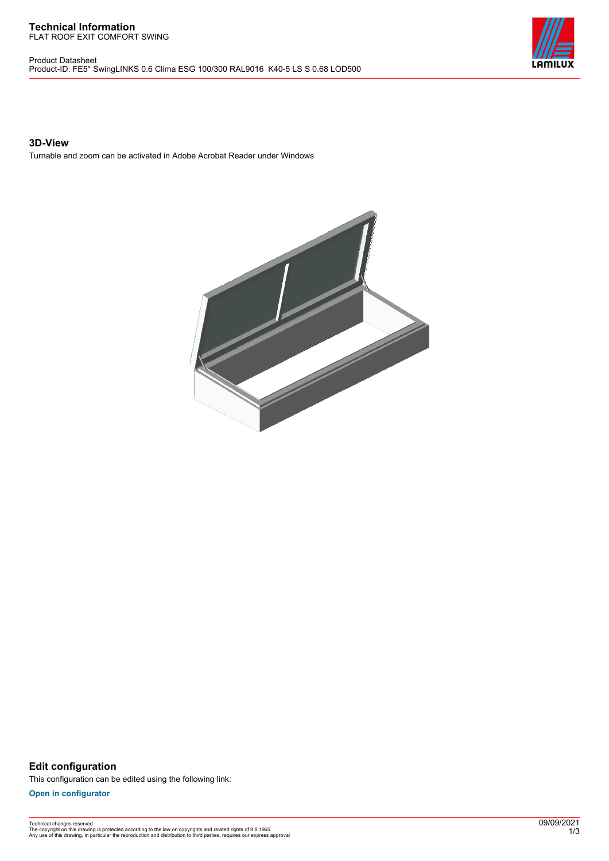#### **Technical Information** FLAT ROOF EXIT COMFORT SWING

Product Datasheet Product-ID: FE5° SwingLINKS 0.6 Clima ESG 100/300 RAL9016 K40-5 LS S 0.68 LOD500



### **3D-View**

Turnable and zoom can be activated in Adobe Acrobat Reader under Windows



**Edit configuration** This configuration can be edited using the following link:

**[Open in configurator](https://bimconfig.lamilux.com//?quickcode=HCQGYZ)**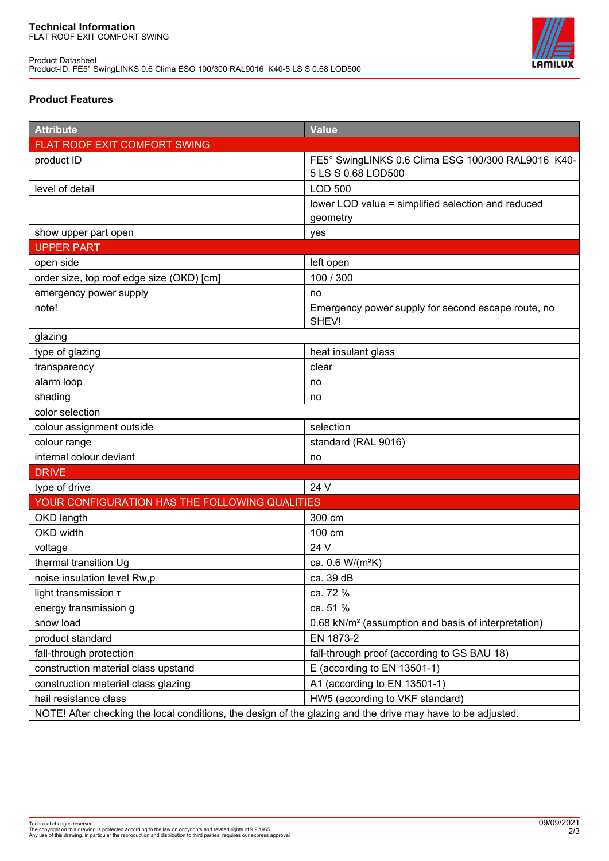Product Datasheet Product-ID: FE5° SwingLINKS 0.6 Clima ESG 100/300 RAL9016 K40-5 LS S 0.68 LOD500



# **Product Features**

| <b>Attribute</b>                                                                                            | <b>Value</b>                                                             |
|-------------------------------------------------------------------------------------------------------------|--------------------------------------------------------------------------|
| FLAT ROOF EXIT COMFORT SWING                                                                                |                                                                          |
| product ID                                                                                                  | FE5° SwingLINKS 0.6 Clima ESG 100/300 RAL9016 K40-<br>5 LS S 0.68 LOD500 |
| level of detail                                                                                             | <b>LOD 500</b>                                                           |
|                                                                                                             | lower LOD value = simplified selection and reduced                       |
|                                                                                                             | geometry                                                                 |
| show upper part open                                                                                        | yes                                                                      |
| <b>UPPER PART</b>                                                                                           |                                                                          |
| open side                                                                                                   | left open                                                                |
| order size, top roof edge size (OKD) [cm]                                                                   | 100 / 300                                                                |
| emergency power supply                                                                                      | no                                                                       |
| note!                                                                                                       | Emergency power supply for second escape route, no<br>SHEV!              |
| glazing                                                                                                     |                                                                          |
| type of glazing                                                                                             | heat insulant glass                                                      |
| transparency                                                                                                | clear                                                                    |
| alarm loop                                                                                                  | no                                                                       |
| shading                                                                                                     | no                                                                       |
| color selection                                                                                             |                                                                          |
| colour assignment outside                                                                                   | selection                                                                |
| colour range                                                                                                | standard (RAL 9016)                                                      |
| internal colour deviant                                                                                     | no                                                                       |
| <b>DRIVE</b>                                                                                                |                                                                          |
| type of drive                                                                                               | 24 V                                                                     |
| YOUR CONFIGURATION HAS THE FOLLOWING QUALITIES                                                              |                                                                          |
| OKD length                                                                                                  | 300 cm                                                                   |
| OKD width                                                                                                   | 100 cm                                                                   |
| voltage                                                                                                     | 24 V                                                                     |
| thermal transition Ug                                                                                       | ca. 0.6 W/(m <sup>2</sup> K)                                             |
| noise insulation level Rw,p                                                                                 | ca. 39 dB                                                                |
| light transmission T                                                                                        | ca. 72 %                                                                 |
| energy transmission g                                                                                       | ca. 51 %                                                                 |
| snow load                                                                                                   | 0.68 kN/m <sup>2</sup> (assumption and basis of interpretation)          |
| product standard                                                                                            | EN 1873-2                                                                |
| fall-through protection                                                                                     | fall-through proof (according to GS BAU 18)                              |
| construction material class upstand                                                                         | E (according to EN 13501-1)                                              |
| construction material class glazing                                                                         | A1 (according to EN 13501-1)                                             |
| hail resistance class                                                                                       | HW5 (according to VKF standard)                                          |
| NOTE! After checking the local conditions, the design of the glazing and the drive may have to be adjusted. |                                                                          |